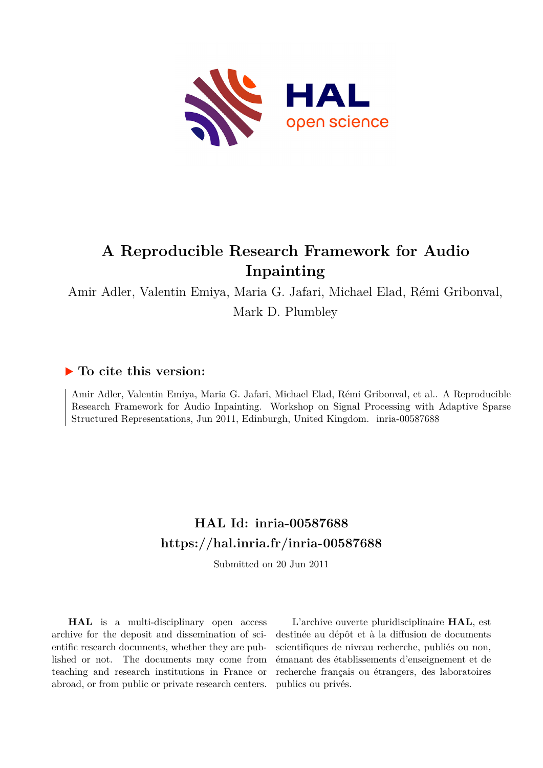

# **A Reproducible Research Framework for Audio Inpainting**

Amir Adler, Valentin Emiya, Maria G. Jafari, Michael Elad, Rémi Gribonval, Mark D. Plumbley

## **To cite this version:**

Amir Adler, Valentin Emiya, Maria G. Jafari, Michael Elad, Rémi Gribonval, et al.. A Reproducible Research Framework for Audio Inpainting. Workshop on Signal Processing with Adaptive Sparse Structured Representations, Jun 2011, Edinburgh, United Kingdom. inria-00587688

## **HAL Id: inria-00587688 <https://hal.inria.fr/inria-00587688>**

Submitted on 20 Jun 2011

**HAL** is a multi-disciplinary open access archive for the deposit and dissemination of scientific research documents, whether they are published or not. The documents may come from teaching and research institutions in France or abroad, or from public or private research centers.

L'archive ouverte pluridisciplinaire **HAL**, est destinée au dépôt et à la diffusion de documents scientifiques de niveau recherche, publiés ou non, émanant des établissements d'enseignement et de recherche français ou étrangers, des laboratoires publics ou privés.